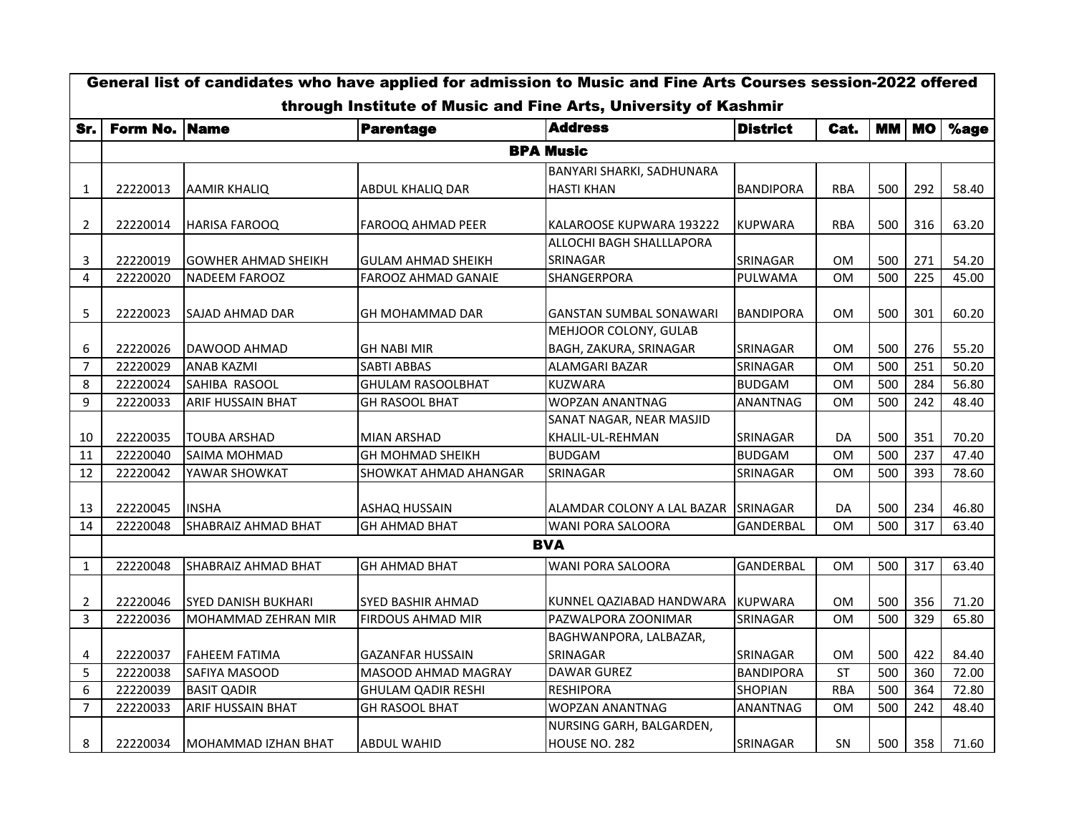| General list of candidates who have applied for admission to Music and Fine Arts Courses session-2022 offered<br>through Institute of Music and Fine Arts, University of Kashmir |                  |                            |                           |                                              |                  |            |           |           |       |  |  |  |
|----------------------------------------------------------------------------------------------------------------------------------------------------------------------------------|------------------|----------------------------|---------------------------|----------------------------------------------|------------------|------------|-----------|-----------|-------|--|--|--|
|                                                                                                                                                                                  | Form No. Name    |                            | <b>Parentage</b>          | <b>Address</b>                               | <b>District</b>  | Cat.       | <b>MM</b> | <b>MO</b> | %age  |  |  |  |
| Sr.                                                                                                                                                                              |                  |                            |                           |                                              |                  |            |           |           |       |  |  |  |
|                                                                                                                                                                                  | <b>BPA Music</b> |                            |                           |                                              |                  |            |           |           |       |  |  |  |
|                                                                                                                                                                                  |                  |                            |                           | BANYARI SHARKI, SADHUNARA                    |                  |            |           |           |       |  |  |  |
| 1                                                                                                                                                                                | 22220013         | <b>AAMIR KHALIQ</b>        | ABDUL KHALIQ DAR          | <b>HASTI KHAN</b>                            | <b>BANDIPORA</b> | <b>RBA</b> | 500       | 292       | 58.40 |  |  |  |
| 2                                                                                                                                                                                | 22220014         | <b>HARISA FAROOQ</b>       | FAROOQ AHMAD PEER         | KALAROOSE KUPWARA 193222                     | <b>KUPWARA</b>   | <b>RBA</b> | 500       | 316       | 63.20 |  |  |  |
|                                                                                                                                                                                  |                  |                            |                           | ALLOCHI BAGH SHALLLAPORA                     |                  |            |           |           |       |  |  |  |
| 3                                                                                                                                                                                | 22220019         | <b>GOWHER AHMAD SHEIKH</b> | <b>GULAM AHMAD SHEIKH</b> | SRINAGAR                                     | SRINAGAR         | 0M         | 500       | 271       | 54.20 |  |  |  |
| 4                                                                                                                                                                                | 22220020         | <b>NADEEM FAROOZ</b>       | FAROOZ AHMAD GANAIE       | SHANGERPORA                                  | PULWAMA          | 0M         | 500       | 225       | 45.00 |  |  |  |
| 5                                                                                                                                                                                | 22220023         | <b>SAJAD AHMAD DAR</b>     | GH MOHAMMAD DAR           | <b>GANSTAN SUMBAL SONAWARI</b>               | <b>BANDIPORA</b> | 0M         | 500       | 301       | 60.20 |  |  |  |
|                                                                                                                                                                                  |                  |                            |                           | MEHJOOR COLONY, GULAB                        |                  |            |           |           |       |  |  |  |
| 6                                                                                                                                                                                | 22220026         | DAWOOD AHMAD               | <b>GH NABI MIR</b>        | BAGH, ZAKURA, SRINAGAR                       | SRINAGAR         | <b>OM</b>  | 500       | 276       | 55.20 |  |  |  |
| 7                                                                                                                                                                                | 22220029         | <b>ANAB KAZMI</b>          | SABTI ABBAS               | ALAMGARI BAZAR                               | SRINAGAR         | 0M         | 500       | 251       | 50.20 |  |  |  |
| 8                                                                                                                                                                                | 22220024         | SAHIBA RASOOL              | <b>GHULAM RASOOLBHAT</b>  | <b>KUZWARA</b>                               | <b>BUDGAM</b>    | <b>OM</b>  | 500       | 284       | 56.80 |  |  |  |
| 9                                                                                                                                                                                | 22220033         | ARIF HUSSAIN BHAT          | GH RASOOL BHAT            | WOPZAN ANANTNAG                              | ANANTNAG         | 0M         | 500       | 242       | 48.40 |  |  |  |
| 10                                                                                                                                                                               | 22220035         | TOUBA ARSHAD               | <b>MIAN ARSHAD</b>        | SANAT NAGAR, NEAR MASJID<br>KHALIL-UL-REHMAN | SRINAGAR         | DA         | 500       | 351       | 70.20 |  |  |  |
| 11                                                                                                                                                                               | 22220040         | SAIMA MOHMAD               | GH MOHMAD SHEIKH          | <b>BUDGAM</b>                                | <b>BUDGAM</b>    | 0M         | 500       | 237       | 47.40 |  |  |  |
| 12                                                                                                                                                                               | 22220042         | YAWAR SHOWKAT              | SHOWKAT AHMAD AHANGAR     | SRINAGAR                                     | SRINAGAR         | <b>OM</b>  | 500       | 393       | 78.60 |  |  |  |
| 13                                                                                                                                                                               | 22220045         | <b>INSHA</b>               | ASHAQ HUSSAIN             | ALAMDAR COLONY A LAL BAZAR                   | SRINAGAR         | DA         | 500       | 234       | 46.80 |  |  |  |
| 14                                                                                                                                                                               | 22220048         | <b>SHABRAIZ AHMAD BHAT</b> | <b>GH AHMAD BHAT</b>      | WANI PORA SALOORA                            | GANDERBAL        | <b>OM</b>  | 500       | 317       | 63.40 |  |  |  |
|                                                                                                                                                                                  |                  |                            |                           | <b>BVA</b>                                   |                  |            |           |           |       |  |  |  |
| $\mathbf{1}$                                                                                                                                                                     | 22220048         | SHABRAIZ AHMAD BHAT        | <b>GH AHMAD BHAT</b>      | <b>WANI PORA SALOORA</b>                     | <b>GANDERBAL</b> | <b>OM</b>  | 500       | 317       | 63.40 |  |  |  |
| 2                                                                                                                                                                                | 22220046         | <b>SYED DANISH BUKHARI</b> | <b>SYED BASHIR AHMAD</b>  | KUNNEL QAZIABAD HANDWARA                     | <b>KUPWARA</b>   | 0M         | 500       | 356       | 71.20 |  |  |  |
| 3                                                                                                                                                                                | 22220036         | <b>MOHAMMAD ZEHRAN MIR</b> | FIRDOUS AHMAD MIR         | PAZWALPORA ZOONIMAR                          | SRINAGAR         | <b>OM</b>  | 500       | 329       | 65.80 |  |  |  |
|                                                                                                                                                                                  |                  |                            |                           | BAGHWANPORA, LALBAZAR,                       |                  |            |           |           |       |  |  |  |
| 4                                                                                                                                                                                | 22220037         | <b>FAHEEM FATIMA</b>       | GAZANFAR HUSSAIN          | SRINAGAR                                     | SRINAGAR         | 0M         | 500       | 422       | 84.40 |  |  |  |
| 5                                                                                                                                                                                | 22220038         | <b>SAFIYA MASOOD</b>       | MASOOD AHMAD MAGRAY       | DAWAR GUREZ                                  | <b>BANDIPORA</b> | <b>ST</b>  | 500       | 360       | 72.00 |  |  |  |
| 6                                                                                                                                                                                | 22220039         | <b>BASIT QADIR</b>         | <b>GHULAM QADIR RESHI</b> | <b>RESHIPORA</b>                             | <b>SHOPIAN</b>   | <b>RBA</b> | 500       | 364       | 72.80 |  |  |  |
| $\overline{7}$                                                                                                                                                                   | 22220033         | ARIF HUSSAIN BHAT          | GH RASOOL BHAT            | WOPZAN ANANTNAG                              | <b>ANANTNAG</b>  | <b>OM</b>  | 500       | 242       | 48.40 |  |  |  |
|                                                                                                                                                                                  |                  |                            |                           | NURSING GARH, BALGARDEN,                     |                  |            |           |           |       |  |  |  |
| 8                                                                                                                                                                                | 22220034         | MOHAMMAD IZHAN BHAT        | <b>ABDUL WAHID</b>        | HOUSE NO. 282                                | <b>SRINAGAR</b>  | SN         | 500       | 358       | 71.60 |  |  |  |